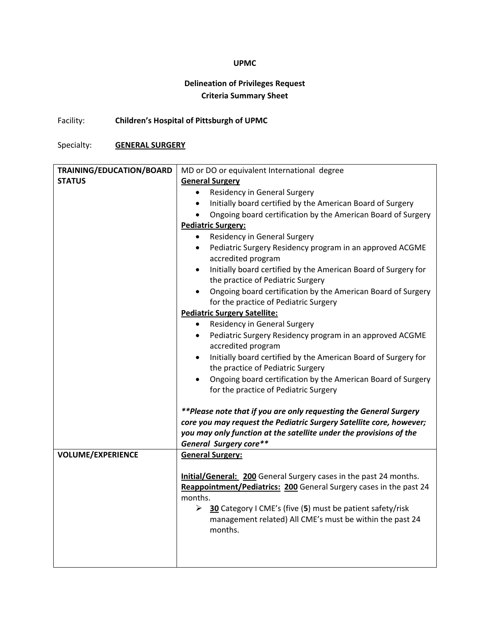## **UPMC**

# **Delineation of Privileges Request Criteria Summary Sheet**

Facility: **Children's Hospital of Pittsburgh of UPMC**

Specialty: **GENERAL SURGERY**

| TRAINING/EDUCATION/BOARD | MD or DO or equivalent International degree                                                                        |
|--------------------------|--------------------------------------------------------------------------------------------------------------------|
| <b>STATUS</b>            | <b>General Surgery</b>                                                                                             |
|                          | <b>Residency in General Surgery</b><br>$\bullet$                                                                   |
|                          | Initially board certified by the American Board of Surgery<br>$\bullet$                                            |
|                          | Ongoing board certification by the American Board of Surgery<br>$\bullet$                                          |
|                          | <b>Pediatric Surgery:</b>                                                                                          |
|                          | Residency in General Surgery<br>$\bullet$                                                                          |
|                          | Pediatric Surgery Residency program in an approved ACGME<br>$\bullet$<br>accredited program                        |
|                          | Initially board certified by the American Board of Surgery for<br>$\bullet$                                        |
|                          | the practice of Pediatric Surgery                                                                                  |
|                          | Ongoing board certification by the American Board of Surgery<br>$\bullet$<br>for the practice of Pediatric Surgery |
|                          | <b>Pediatric Surgery Satellite:</b>                                                                                |
|                          | <b>Residency in General Surgery</b><br>$\bullet$                                                                   |
|                          | Pediatric Surgery Residency program in an approved ACGME<br>$\bullet$                                              |
|                          | accredited program                                                                                                 |
|                          | Initially board certified by the American Board of Surgery for<br>٠                                                |
|                          | the practice of Pediatric Surgery                                                                                  |
|                          | Ongoing board certification by the American Board of Surgery<br>$\bullet$                                          |
|                          | for the practice of Pediatric Surgery                                                                              |
|                          | **Please note that if you are only requesting the General Surgery                                                  |
|                          | core you may request the Pediatric Surgery Satellite core, however;                                                |
|                          | you may only function at the satellite under the provisions of the                                                 |
|                          | <b>General Surgery core**</b>                                                                                      |
| <b>VOLUME/EXPERIENCE</b> | <b>General Surgery:</b>                                                                                            |
|                          |                                                                                                                    |
|                          | <b>Initial/General: 200</b> General Surgery cases in the past 24 months.                                           |
|                          | Reappointment/Pediatrics: 200 General Surgery cases in the past 24                                                 |
|                          | months.                                                                                                            |
|                          | > 30 Category I CME's (five (5) must be patient safety/risk                                                        |
|                          | management related) All CME's must be within the past 24                                                           |
|                          | months.                                                                                                            |
|                          |                                                                                                                    |
|                          |                                                                                                                    |